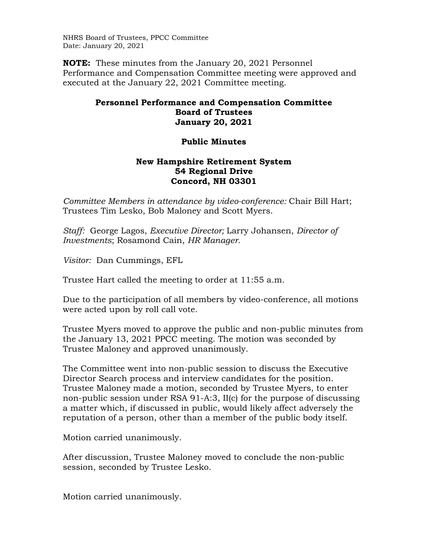NHRS Board of Trustees, PPCC Committee Date: January 20, 2021

**NOTE:** These minutes from the January 20, 2021 Personnel Performance and Compensation Committee meeting were approved and executed at the January 22, 2021 Committee meeting.

## **Personnel Performance and Compensation Committee Board of Trustees January 20, 2021**

## **Public Minutes**

## **New Hampshire Retirement System 54 Regional Drive Concord, NH 03301**

*Committee Members in attendance by video-conference:* Chair Bill Hart; Trustees Tim Lesko, Bob Maloney and Scott Myers.

*Staff:* George Lagos, *Executive Director;* Larry Johansen, *Director of Investments*; Rosamond Cain, *HR Manager*.

*Visitor:* Dan Cummings, EFL

Trustee Hart called the meeting to order at 11:55 a.m.

Due to the participation of all members by video-conference, all motions were acted upon by roll call vote.

Trustee Myers moved to approve the public and non-public minutes from the January 13, 2021 PPCC meeting. The motion was seconded by Trustee Maloney and approved unanimously.

The Committee went into non-public session to discuss the Executive Director Search process and interview candidates for the position. Trustee Maloney made a motion, seconded by Trustee Myers, to enter non-public session under RSA 91-A:3, II(c) for the purpose of discussing a matter which, if discussed in public, would likely affect adversely the reputation of a person, other than a member of the public body itself.

Motion carried unanimously.

After discussion, Trustee Maloney moved to conclude the non-public session, seconded by Trustee Lesko.

Motion carried unanimously.